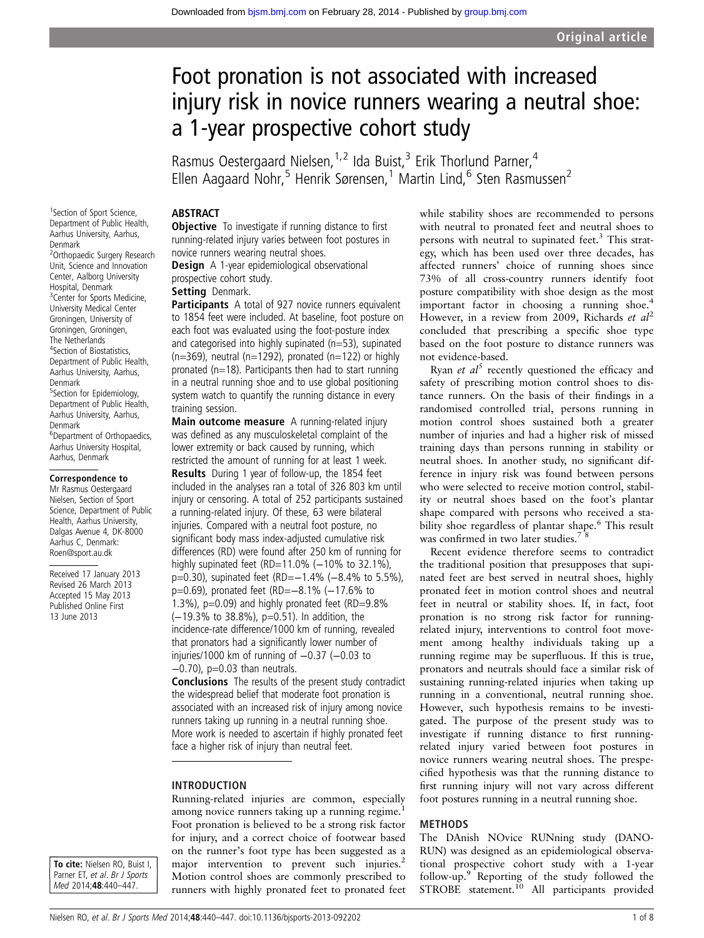# Foot pronation is not associated with increased injury risk in novice runners wearing a neutral shoe: a 1-year prospective cohort study

Rasmus Oestergaard Nielsen,  $1/2$  Ida Buist, <sup>3</sup> Erik Thorlund Parner, <sup>4</sup> Ellen Aagaard Nohr,<sup>5</sup> Henrik Sørensen,<sup>1</sup> Martin Lind,<sup>6</sup> Sten Rasmussen<sup>2</sup>

# **ABSTRACT**

**Objective** To investigate if running distance to first running-related injury varies between foot postures in novice runners wearing neutral shoes.

Design A 1-year epidemiological observational prospective cohort study.

## Setting Denmark.

Participants A total of 927 novice runners equivalent to 1854 feet were included. At baseline, foot posture on each foot was evaluated using the foot-posture index and categorised into highly supinated (n=53), supinated ( $n=369$ ), neutral ( $n=1292$ ), pronated ( $n=122$ ) or highly pronated ( $n=18$ ). Participants then had to start running in a neutral running shoe and to use global positioning system watch to quantify the running distance in every training session.

Main outcome measure A running-related injury was defined as any musculoskeletal complaint of the lower extremity or back caused by running, which restricted the amount of running for at least 1 week. Results During 1 year of follow-up, the 1854 feet included in the analyses ran a total of 326 803 km until injury or censoring. A total of 252 participants sustained a running-related injury. Of these, 63 were bilateral injuries. Compared with a neutral foot posture, no significant body mass index-adjusted cumulative risk differences (RD) were found after 250 km of running for highly supinated feet (RD=11.0% (-10% to 32.1%), p=0.30), supinated feet (RD=−1.4% (−8.4% to 5.5%), p=0.69), pronated feet (RD=−8.1% (-17.6% to 1.3%),  $p=0.09$ ) and highly pronated feet (RD= $9.8\%$ ) (−19.3% to 38.8%), p=0.51). In addition, the incidence-rate difference/1000 km of running, revealed that pronators had a significantly lower number of injuries/1000 km of running of  $-0.37$  ( $-0.03$  to −0.70), p=0.03 than neutrals.

Conclusions The results of the present study contradict the widespread belief that moderate foot pronation is associated with an increased risk of injury among novice runners taking up running in a neutral running shoe. More work is needed to ascertain if highly pronated feet face a higher risk of injury than neutral feet.

# INTRODUCTION

Running-related injuries are common, especially among novice runners taking up a running regime. Foot pronation is believed to be a strong risk factor for injury, and a correct choice of footwear based on the runner's foot type has been suggested as a major intervention to prevent such injuries.<sup>2</sup> Motion control shoes are commonly prescribed to runners with highly pronated feet to pronated feet while stability shoes are recommended to persons with neutral to pronated feet and neutral shoes to persons with neutral to supinated feet.<sup>3</sup> This strategy, which has been used over three decades, has affected runners' choice of running shoes since 73% of all cross-country runners identify foot posture compatibility with shoe design as the most important factor in choosing a running shoe.<sup>4</sup> However, in a review from 2009, Richards et al<sup>2</sup> concluded that prescribing a specific shoe type based on the foot posture to distance runners was not evidence-based.

Ryan et  $al^5$  recently questioned the efficacy and safety of prescribing motion control shoes to distance runners. On the basis of their findings in a randomised controlled trial, persons running in motion control shoes sustained both a greater number of injuries and had a higher risk of missed training days than persons running in stability or neutral shoes. In another study, no significant difference in injury risk was found between persons who were selected to receive motion control, stability or neutral shoes based on the foot's plantar shape compared with persons who received a stability shoe regardless of plantar shape.<sup>6</sup> This result was confirmed in two later studies.<sup>7</sup>

Recent evidence therefore seems to contradict the traditional position that presupposes that supinated feet are best served in neutral shoes, highly pronated feet in motion control shoes and neutral feet in neutral or stability shoes. If, in fact, foot pronation is no strong risk factor for runningrelated injury, interventions to control foot movement among healthy individuals taking up a running regime may be superfluous. If this is true, pronators and neutrals should face a similar risk of sustaining running-related injuries when taking up running in a conventional, neutral running shoe. However, such hypothesis remains to be investigated. The purpose of the present study was to investigate if running distance to first runningrelated injury varied between foot postures in novice runners wearing neutral shoes. The prespecified hypothesis was that the running distance to first running injury will not vary across different foot postures running in a neutral running shoe.

#### METHODS

The DAnish NOvice RUNning study (DANO-RUN) was designed as an epidemiological observational prospective cohort study with a 1-year follow-up.<sup>9</sup> Reporting of the study followed the STROBE statement.<sup>10</sup> All participants provided

Aarhus University, Aarhus, Denmark <sup>2</sup> Orthopaedic Surgery Research Unit, Science and Innovation Center, Aalborg University Hospital, Denmark <sup>3</sup> Center for Sports Medicine, University Medical Center Groningen, University of Groningen, Groningen, The Netherlands 4 Section of Biostatistics, Department of Public Health, Aarhus University, Aarhus, Denmark 5 Section for Epidemiology, Department of Public Health, Aarhus University, Aarhus, Denmark 6 Department of Orthopaedics, Aarhus University Hospital, Aarhus, Denmark

<sup>1</sup>Section of Sport Science, Department of Public Health,

#### Correspondence to

Mr Rasmus Oestergaard Nielsen, Section of Sport Science, Department of Public Health, Aarhus University, Dalgas Avenue 4, DK-8000 Aarhus C, Denmark: Roen@sport.au.dk

Received 17 January 2013 Revised 26 March 2013 Accepted 15 May 2013 Published Online First 13 June 2013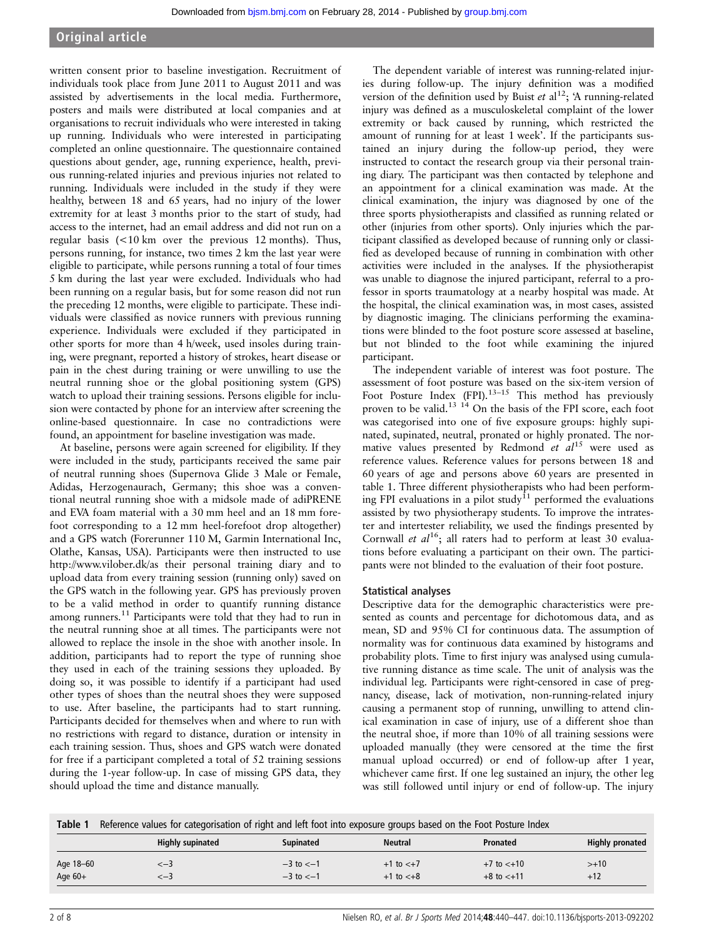written consent prior to baseline investigation. Recruitment of individuals took place from June 2011 to August 2011 and was assisted by advertisements in the local media. Furthermore, posters and mails were distributed at local companies and at organisations to recruit individuals who were interested in taking up running. Individuals who were interested in participating completed an online questionnaire. The questionnaire contained questions about gender, age, running experience, health, previous running-related injuries and previous injuries not related to running. Individuals were included in the study if they were healthy, between 18 and 65 years, had no injury of the lower extremity for at least 3 months prior to the start of study, had access to the internet, had an email address and did not run on a regular basis (<10 km over the previous 12 months). Thus, persons running, for instance, two times 2 km the last year were eligible to participate, while persons running a total of four times 5 km during the last year were excluded. Individuals who had been running on a regular basis, but for some reason did not run the preceding 12 months, were eligible to participate. These individuals were classified as novice runners with previous running experience. Individuals were excluded if they participated in other sports for more than 4 h/week, used insoles during training, were pregnant, reported a history of strokes, heart disease or pain in the chest during training or were unwilling to use the neutral running shoe or the global positioning system (GPS) watch to upload their training sessions. Persons eligible for inclusion were contacted by phone for an interview after screening the online-based questionnaire. In case no contradictions were found, an appointment for baseline investigation was made.

At baseline, persons were again screened for eligibility. If they were included in the study, participants received the same pair of neutral running shoes (Supernova Glide 3 Male or Female, Adidas, Herzogenaurach, Germany; this shoe was a conventional neutral running shoe with a midsole made of adiPRENE and EVA foam material with a 30 mm heel and an 18 mm forefoot corresponding to a 12 mm heel-forefoot drop altogether) and a GPS watch (Forerunner 110 M, Garmin International Inc, Olathe, Kansas, USA). Participants were then instructed to use [http://www.vilober.dk/a](http://www.vilober.dk/)s their personal training diary and to upload data from every training session (running only) saved on the GPS watch in the following year. GPS has previously proven to be a valid method in order to quantify running distance among runners.<sup>11</sup> Participants were told that they had to run in the neutral running shoe at all times. The participants were not allowed to replace the insole in the shoe with another insole. In addition, participants had to report the type of running shoe they used in each of the training sessions they uploaded. By doing so, it was possible to identify if a participant had used other types of shoes than the neutral shoes they were supposed to use. After baseline, the participants had to start running. Participants decided for themselves when and where to run with no restrictions with regard to distance, duration or intensity in each training session. Thus, shoes and GPS watch were donated for free if a participant completed a total of 52 training sessions during the 1-year follow-up. In case of missing GPS data, they should upload the time and distance manually.

The dependent variable of interest was running-related injuries during follow-up. The injury definition was a modified version of the definition used by Buist *et* al<sup>12</sup>; 'A running-related injury was defined as a musculoskeletal complaint of the lower extremity or back caused by running, which restricted the amount of running for at least 1 week'. If the participants sustained an injury during the follow-up period, they were instructed to contact the research group via their personal training diary. The participant was then contacted by telephone and an appointment for a clinical examination was made. At the clinical examination, the injury was diagnosed by one of the three sports physiotherapists and classified as running related or other (injuries from other sports). Only injuries which the participant classified as developed because of running only or classified as developed because of running in combination with other activities were included in the analyses. If the physiotherapist was unable to diagnose the injured participant, referral to a professor in sports traumatology at a nearby hospital was made. At the hospital, the clinical examination was, in most cases, assisted by diagnostic imaging. The clinicians performing the examinations were blinded to the foot posture score assessed at baseline, but not blinded to the foot while examining the injured participant.

The independent variable of interest was foot posture. The assessment of foot posture was based on the six-item version of Foot Posture Index (FPI). $13-15$  This method has previously proven to be valid.<sup>13 14</sup> On the basis of the FPI score, each foot was categorised into one of five exposure groups: highly supinated, supinated, neutral, pronated or highly pronated. The normative values presented by Redmond et  $al^{15}$  were used as reference values. Reference values for persons between 18 and 60 years of age and persons above 60 years are presented in table 1. Three different physiotherapists who had been performing FPI evaluations in a pilot study $^{11}$  performed the evaluations assisted by two physiotherapy students. To improve the intratester and intertester reliability, we used the findings presented by Cornwall et  $al^{16}$ ; all raters had to perform at least 30 evaluations before evaluating a participant on their own. The participants were not blinded to the evaluation of their foot posture.

#### Statistical analyses

Descriptive data for the demographic characteristics were presented as counts and percentage for dichotomous data, and as mean, SD and 95% CI for continuous data. The assumption of normality was for continuous data examined by histograms and probability plots. Time to first injury was analysed using cumulative running distance as time scale. The unit of analysis was the individual leg. Participants were right-censored in case of pregnancy, disease, lack of motivation, non-running-related injury causing a permanent stop of running, unwilling to attend clinical examination in case of injury, use of a different shoe than the neutral shoe, if more than 10% of all training sessions were uploaded manually (they were censored at the time the first manual upload occurred) or end of follow-up after 1 year, whichever came first. If one leg sustained an injury, the other leg was still followed until injury or end of follow-up. The injury

| Table 1 | Reference values for categorisation of right and left foot into exposure groups based on the Foot Posture Index |           |         |          |     |
|---------|-----------------------------------------------------------------------------------------------------------------|-----------|---------|----------|-----|
|         | <b>Highly supinated</b>                                                                                         | Supinated | Neutral | Pronated | Hio |

|           | <b>Highly supinated</b> | <b>Supinated</b> | <b>Neutral</b> | <b>Pronated</b> | <b>Highly pronated</b> |
|-----------|-------------------------|------------------|----------------|-----------------|------------------------|
| Age 18-60 | :—:                     | $-3$ to $<-1$    | $+1$ to $<+7$  | $+7$ to $< +10$ | >+10                   |
| Age $60+$ | (-:                     | $-3$ to $<-1$    | $+1$ to $< +8$ | $+8$ to $< +11$ | $+12$                  |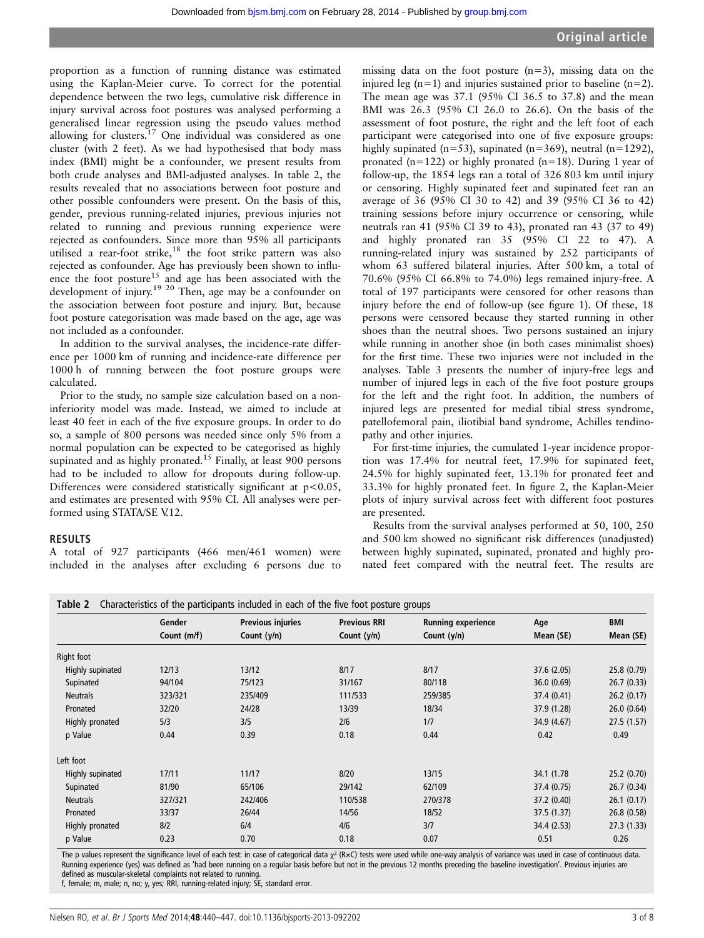proportion as a function of running distance was estimated using the Kaplan-Meier curve. To correct for the potential dependence between the two legs, cumulative risk difference in injury survival across foot postures was analysed performing a generalised linear regression using the pseudo values method allowing for clusters.<sup>17</sup> One individual was considered as one cluster (with 2 feet). As we had hypothesised that body mass index (BMI) might be a confounder, we present results from both crude analyses and BMI-adjusted analyses. In table 2, the results revealed that no associations between foot posture and other possible confounders were present. On the basis of this, gender, previous running-related injuries, previous injuries not related to running and previous running experience were rejected as confounders. Since more than 95% all participants utilised a rear-foot strike, $18$  the foot strike pattern was also rejected as confounder. Age has previously been shown to influence the foot posture<sup>15</sup> and age has been associated with the development of injury.<sup>19 20</sup> Then, age may be a confounder on the association between foot posture and injury. But, because foot posture categorisation was made based on the age, age was not included as a confounder.

In addition to the survival analyses, the incidence-rate difference per 1000 km of running and incidence-rate difference per 1000 h of running between the foot posture groups were calculated.

Prior to the study, no sample size calculation based on a noninferiority model was made. Instead, we aimed to include at least 40 feet in each of the five exposure groups. In order to do so, a sample of 800 persons was needed since only 5% from a normal population can be expected to be categorised as highly supinated and as highly pronated.<sup>15</sup> Finally, at least 900 persons had to be included to allow for dropouts during follow-up. Differences were considered statistically significant at  $p < 0.05$ , and estimates are presented with 95% CI. All analyses were performed using STATA/SE V.12.

## RESULTS

A total of 927 participants (466 men/461 women) were included in the analyses after excluding 6 persons due to

missing data on the foot posture  $(n=3)$ , missing data on the injured leg  $(n=1)$  and injuries sustained prior to baseline  $(n=2)$ . The mean age was 37.1 (95% CI 36.5 to 37.8) and the mean BMI was 26.3 (95% CI 26.0 to 26.6). On the basis of the assessment of foot posture, the right and the left foot of each participant were categorised into one of five exposure groups: highly supinated (n=53), supinated (n=369), neutral (n=1292), pronated (n=122) or highly pronated (n=18). During 1 year of follow-up, the 1854 legs ran a total of 326 803 km until injury or censoring. Highly supinated feet and supinated feet ran an average of 36 (95% CI 30 to 42) and 39 (95% CI 36 to 42) training sessions before injury occurrence or censoring, while neutrals ran 41 (95% CI 39 to 43), pronated ran 43 (37 to 49) and highly pronated ran 35 (95% CI 22 to 47). A running-related injury was sustained by 252 participants of whom 63 suffered bilateral injuries. After 500 km, a total of 70.6% (95% CI 66.8% to 74.0%) legs remained injury-free. A total of 197 participants were censored for other reasons than injury before the end of follow-up (see figure 1). Of these, 18 persons were censored because they started running in other shoes than the neutral shoes. Two persons sustained an injury while running in another shoe (in both cases minimalist shoes) for the first time. These two injuries were not included in the analyses. Table 3 presents the number of injury-free legs and number of injured legs in each of the five foot posture groups for the left and the right foot. In addition, the numbers of injured legs are presented for medial tibial stress syndrome, patellofemoral pain, iliotibial band syndrome, Achilles tendinopathy and other injuries.

For first-time injuries, the cumulated 1-year incidence proportion was 17.4% for neutral feet, 17.9% for supinated feet, 24.5% for highly supinated feet, 13.1% for pronated feet and 33.3% for highly pronated feet. In figure 2, the Kaplan-Meier plots of injury survival across feet with different foot postures are presented.

Results from the survival analyses performed at 50, 100, 250 and 500 km showed no significant risk differences (unadjusted) between highly supinated, supinated, pronated and highly pronated feet compared with the neutral feet. The results are

|                  | Gender      | Previous injuries | <b>Previous RRI</b> | <b>Running experience</b> | Age         | <b>BMI</b> |
|------------------|-------------|-------------------|---------------------|---------------------------|-------------|------------|
|                  | Count (m/f) | Count $(y/n)$     | Count $(y/n)$       | Count $(y/n)$             | Mean (SE)   | Mean (SE)  |
| Right foot       |             |                   |                     |                           |             |            |
| Highly supinated | 12/13       | 13/12             | 8/17                | 8/17                      | 37.6 (2.05) | 25.8(0.79) |
| Supinated        | 94/104      | 75/123            | 31/167              | 80/118                    | 36.0(0.69)  | 26.7(0.33) |
| <b>Neutrals</b>  | 323/321     | 235/409           | 111/533             | 259/385                   | 37.4 (0.41) | 26.2(0.17) |
| Pronated         | 32/20       | 24/28             | 13/39               | 18/34                     | 37.9 (1.28) | 26.0(0.64) |
| Highly pronated  | 5/3         | 3/5               | 2/6                 | 1/7                       | 34.9 (4.67) | 27.5(1.57) |
| p Value          | 0.44        | 0.39              | 0.18                | 0.44                      | 0.42        | 0.49       |
| Left foot        |             |                   |                     |                           |             |            |
| Highly supinated | 17/11       | 11/17             | 8/20                | 13/15                     | 34.1 (1.78) | 25.2(0.70) |
| Supinated        | 81/90       | 65/106            | 29/142              | 62/109                    | 37.4 (0.75) | 26.7(0.34) |
| <b>Neutrals</b>  | 327/321     | 242/406           | 110/538             | 270/378                   | 37.2 (0.40) | 26.1(0.17) |
| Pronated         | 33/37       | 26/44             | 14/56               | 18/52                     | 37.5 (1.37) | 26.8(0.58) |
| Highly pronated  | 8/2         | 6/4               | 4/6                 | 3/7                       | 34.4 (2.53) | 27.3(1.33) |
| p Value          | 0.23        | 0.70              | 0.18                | 0.07                      | 0.51        | 0.26       |

The p values represent the significance level of each test: in case of categorical data  $\chi^2$  (R×C) tests were used while one-way analysis of variance was used in case of continuous data. Running experience (yes) was defined as 'had been running on a regular basis before but not in the previous 12 months preceding the baseline investigation'. Previous injuries are defined as muscular-skeletal complaints not related to running.

f, female; m, male; n, no; y, yes; RRI, running-related injury; SE, standard error.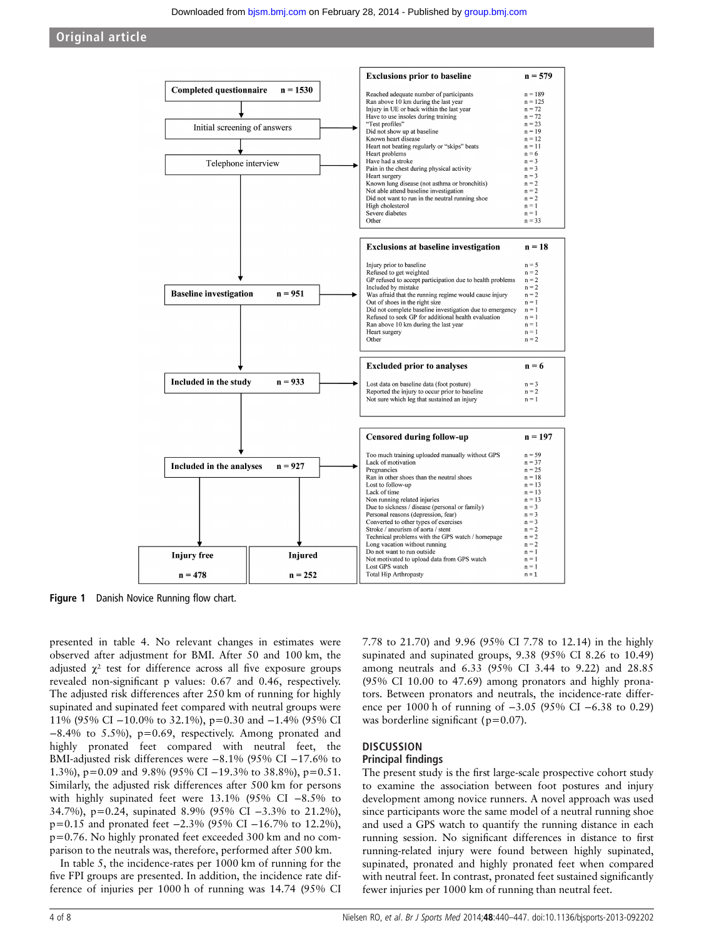

Figure 1 Danish Novice Running flow chart.

presented in table 4. No relevant changes in estimates were observed after adjustment for BMI. After 50 and 100 km, the adjusted  $\chi^2$  test for difference across all five exposure groups revealed non-significant p values: 0.67 and 0.46, respectively. The adjusted risk differences after 250 km of running for highly supinated and supinated feet compared with neutral groups were 11% (95% CI −10.0% to 32.1%), p=0.30 and −1.4% (95% CI −8.4% to 5.5%), p=0.69, respectively. Among pronated and highly pronated feet compared with neutral feet, the BMI-adjusted risk differences were −8.1% (95% CI −17.6% to 1.3%), p=0.09 and 9.8% (95% CI −19.3% to 38.8%), p=0.51. Similarly, the adjusted risk differences after 500 km for persons with highly supinated feet were 13.1% (95% CI −8.5% to 34.7%), p=0.24, supinated 8.9% (95% CI −3.3% to 21.2%), p=0.15 and pronated feet −2.3% (95% CI −16.7% to 12.2%), p=0.76. No highly pronated feet exceeded 300 km and no comparison to the neutrals was, therefore, performed after 500 km.

In table 5, the incidence-rates per 1000 km of running for the five FPI groups are presented. In addition, the incidence rate difference of injuries per 1000 h of running was 14.74 (95% CI 7.78 to 21.70) and 9.96 (95% CI 7.78 to 12.14) in the highly supinated and supinated groups, 9.38 (95% CI 8.26 to 10.49) among neutrals and 6.33 (95% CI 3.44 to 9.22) and 28.85 (95% CI 10.00 to 47.69) among pronators and highly pronators. Between pronators and neutrals, the incidence-rate difference per 1000 h of running of −3.05 (95% CI −6.38 to 0.29) was borderline significant ( $p=0.07$ ).

#### **DISCUSSION**

#### Principal findings

The present study is the first large-scale prospective cohort study to examine the association between foot postures and injury development among novice runners. A novel approach was used since participants wore the same model of a neutral running shoe and used a GPS watch to quantify the running distance in each running session. No significant differences in distance to first running-related injury were found between highly supinated, supinated, pronated and highly pronated feet when compared with neutral feet. In contrast, pronated feet sustained significantly fewer injuries per 1000 km of running than neutral feet.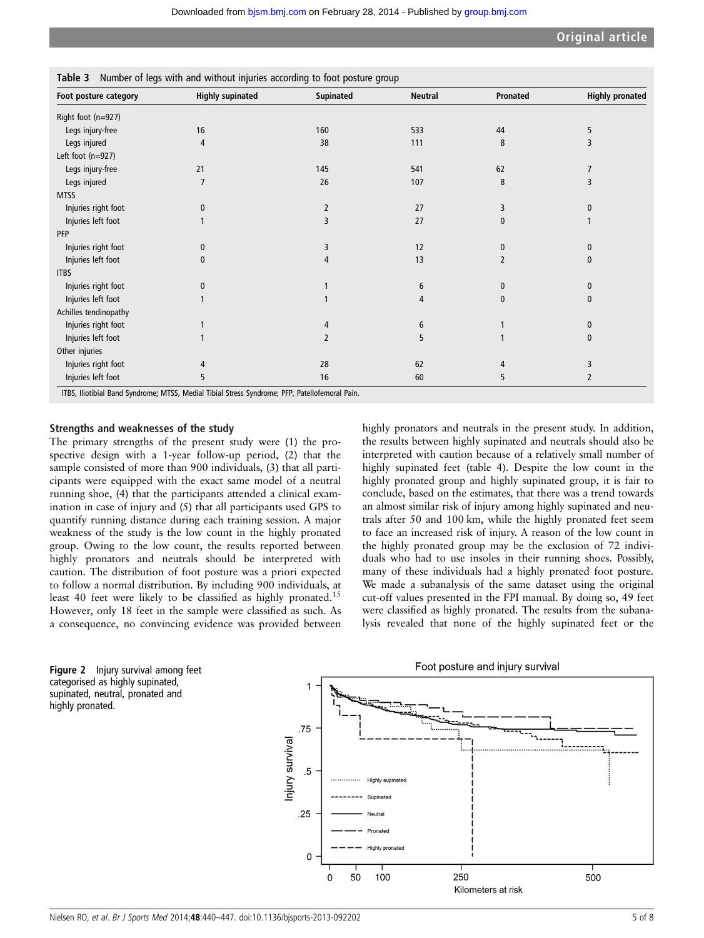Table 3 Number of legs with and without injuries according to foot posture group

| Foot posture category | <b>Highly supinated</b> | <b>Supinated</b> | <b>Neutral</b> | Pronated     | <b>Highly pronated</b> |
|-----------------------|-------------------------|------------------|----------------|--------------|------------------------|
| Right foot (n=927)    |                         |                  |                |              |                        |
| Legs injury-free      | 16                      | 160              | 533            | 44           | 5                      |
| Legs injured          | 4                       | 38               | 111            | 8            |                        |
| Left foot $(n=927)$   |                         |                  |                |              |                        |
| Legs injury-free      | 21                      | 145              | 541            | 62           |                        |
| Legs injured          | 7                       | 26               | 107            | 8            | 3                      |
| <b>MTSS</b>           |                         |                  |                |              |                        |
| Injuries right foot   | 0                       | 2                | 27             | 3            | 0                      |
| Injuries left foot    |                         | 3                | 27             | $\mathbf{0}$ |                        |
| <b>PFP</b>            |                         |                  |                |              |                        |
| Injuries right foot   | 0                       | 3                | 12             | $\mathbf{0}$ | $\bf{0}$               |
| Injuries left foot    | 0                       | 4                | 13             | 2            | $\bf{0}$               |
| <b>ITBS</b>           |                         |                  |                |              |                        |
| Injuries right foot   | 0                       |                  | 6              | 0            | $\bf{0}$               |
| Injuries left foot    |                         |                  | 4              | $\mathbf{0}$ | 0                      |
| Achilles tendinopathy |                         |                  |                |              |                        |
| Injuries right foot   |                         |                  | 6              |              | 0                      |
| Injuries left foot    |                         | $\overline{2}$   | 5              |              | $\mathbf{0}$           |
| Other injuries        |                         |                  |                |              |                        |
| Injuries right foot   | 4                       | 28               | 62             |              | 3                      |
| Injuries left foot    | 5                       | 16               | 60             | 5            | $\overline{2}$         |

#### Strengths and weaknesses of the study

The primary strengths of the present study were (1) the prospective design with a 1-year follow-up period, (2) that the sample consisted of more than 900 individuals, (3) that all participants were equipped with the exact same model of a neutral running shoe, (4) that the participants attended a clinical examination in case of injury and (5) that all participants used GPS to quantify running distance during each training session. A major weakness of the study is the low count in the highly pronated group. Owing to the low count, the results reported between highly pronators and neutrals should be interpreted with caution. The distribution of foot posture was a priori expected to follow a normal distribution. By including 900 individuals, at least 40 feet were likely to be classified as highly pronated.<sup>15</sup> However, only 18 feet in the sample were classified as such. As a consequence, no convincing evidence was provided between

highly pronators and neutrals in the present study. In addition, the results between highly supinated and neutrals should also be interpreted with caution because of a relatively small number of highly supinated feet (table 4). Despite the low count in the highly pronated group and highly supinated group, it is fair to conclude, based on the estimates, that there was a trend towards an almost similar risk of injury among highly supinated and neutrals after 50 and 100 km, while the highly pronated feet seem to face an increased risk of injury. A reason of the low count in the highly pronated group may be the exclusion of 72 individuals who had to use insoles in their running shoes. Possibly, many of these individuals had a highly pronated foot posture. We made a subanalysis of the same dataset using the original cut-off values presented in the FPI manual. By doing so, 49 feet were classified as highly pronated. The results from the subanalysis revealed that none of the highly supinated feet or the



#### Foot posture and injury survival

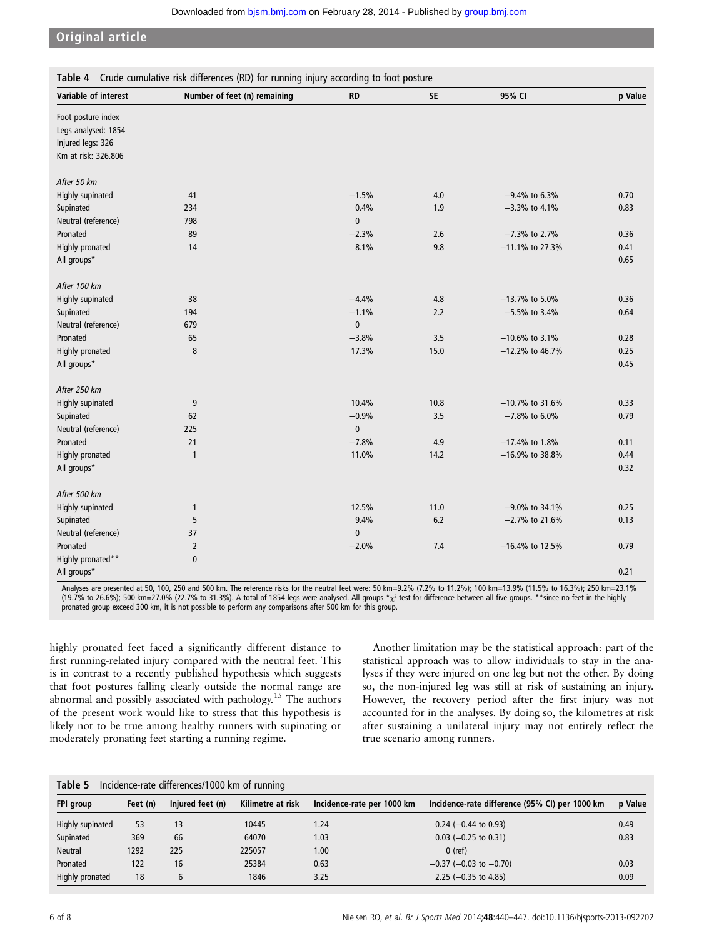| Variable of interest | Number of feet (n) remaining | <b>RD</b>      | <b>SE</b> | 95% CI             | p Value |
|----------------------|------------------------------|----------------|-----------|--------------------|---------|
| Foot posture index   |                              |                |           |                    |         |
| Legs analysed: 1854  |                              |                |           |                    |         |
| Injured legs: 326    |                              |                |           |                    |         |
| Km at risk: 326.806  |                              |                |           |                    |         |
| After 50 km          |                              |                |           |                    |         |
| Highly supinated     | 41                           | $-1.5%$        | 4.0       | $-9.4\%$ to 6.3%   | 0.70    |
| Supinated            | 234                          | 0.4%           | 1.9       | $-3.3\%$ to 4.1%   | 0.83    |
| Neutral (reference)  | 798                          | $\mathbf{0}$   |           |                    |         |
| Pronated             | 89                           | $-2.3%$        | 2.6       | $-7.3\%$ to 2.7%   | 0.36    |
| Highly pronated      | 14                           | 8.1%           | 9.8       | $-11.1\%$ to 27.3% | 0.41    |
| All groups*          |                              |                |           |                    | 0.65    |
| After 100 km         |                              |                |           |                    |         |
| Highly supinated     | 38                           | $-4.4%$        | 4.8       | $-13.7\%$ to 5.0%  | 0.36    |
| Supinated            | 194                          | $-1.1%$        | 2.2       | $-5.5\%$ to 3.4%   | 0.64    |
| Neutral (reference)  | 679                          | $\mathbf{0}$   |           |                    |         |
| Pronated             | 65                           | $-3.8%$        | 3.5       | $-10.6\%$ to 3.1%  | 0.28    |
| Highly pronated      | 8                            | 17.3%          | 15.0      | $-12.2\%$ to 46.7% | 0.25    |
| All groups*          |                              |                |           |                    | 0.45    |
| After 250 km         |                              |                |           |                    |         |
| Highly supinated     | 9                            | 10.4%          | 10.8      | $-10.7\%$ to 31.6% | 0.33    |
| Supinated            | 62                           | $-0.9%$        | 3.5       | $-7.8\%$ to 6.0%   | 0.79    |
| Neutral (reference)  | 225                          | $\overline{0}$ |           |                    |         |
| Pronated             | 21                           | $-7.8%$        | 4.9       | $-17.4\%$ to 1.8%  | 0.11    |
| Highly pronated      | $\mathbf{1}$                 | 11.0%          | 14.2      | $-16.9\%$ to 38.8% | 0.44    |
| All groups*          |                              |                |           |                    | 0.32    |
| After 500 km         |                              |                |           |                    |         |
| Highly supinated     | 1                            | 12.5%          | 11.0      | $-9.0\%$ to 34.1%  | 0.25    |
| Supinated            | 5                            | 9.4%           | 6.2       | $-2.7\%$ to 21.6%  | 0.13    |
| Neutral (reference)  | 37                           | $\mathbf{0}$   |           |                    |         |
| Pronated             | $\overline{2}$               | $-2.0%$        | 7.4       | $-16.4\%$ to 12.5% | 0.79    |
| Highly pronated**    | $\mathbf{0}$                 |                |           |                    |         |
| All groups*          |                              |                |           |                    | 0.21    |

Analyses are presented at 50, 100, 250 and 500 km. The reference risks for the neutral feet were: 50 km=9.2% (7.2% to 11.2%); 100 km=13.9% (11.5% to 16.3%); 250 km=23.1% (19.7% to 26.6%); 500 km=27.0% (22.7% to 31.3%). A total of 1854 legs were analysed. All groups  $x^2$  test for difference between all five groups. \*\* since no feet in the highly pronated group exceed 300 km, it is not possible to perform any comparisons after 500 km for this group.

highly pronated feet faced a significantly different distance to first running-related injury compared with the neutral feet. This is in contrast to a recently published hypothesis which suggests that foot postures falling clearly outside the normal range are abnormal and possibly associated with pathology.<sup>15</sup> The authors of the present work would like to stress that this hypothesis is likely not to be true among healthy runners with supinating or moderately pronating feet starting a running regime.

Another limitation may be the statistical approach: part of the statistical approach was to allow individuals to stay in the analyses if they were injured on one leg but not the other. By doing so, the non-injured leg was still at risk of sustaining an injury. However, the recovery period after the first injury was not accounted for in the analyses. By doing so, the kilometres at risk after sustaining a unilateral injury may not entirely reflect the true scenario among runners.

| Table 5<br>Incidence-rate differences/1000 km of running |          |                  |                   |                            |                                                |         |  |  |
|----------------------------------------------------------|----------|------------------|-------------------|----------------------------|------------------------------------------------|---------|--|--|
| FPI group                                                | Feet (n) | Injured feet (n) | Kilimetre at risk | Incidence-rate per 1000 km | Incidence-rate difference (95% CI) per 1000 km | p Value |  |  |
| Highly supinated                                         | 53       | 13               | 10445             | 1.24                       | $0.24$ (-0.44 to 0.93)                         | 0.49    |  |  |
| Supinated                                                | 369      | 66               | 64070             | 1.03                       | $0.03$ (-0.25 to 0.31)                         | 0.83    |  |  |
| Neutral                                                  | 1292     | 225              | 225057            | 1.00                       | $0$ (ref)                                      |         |  |  |
| Pronated                                                 | 122      | 16               | 25384             | 0.63                       | $-0.37$ ( $-0.03$ to $-0.70$ )                 | 0.03    |  |  |
| Highly pronated                                          | 18       | 6                | 1846              | 3.25                       | 2.25 $(-0.35$ to 4.85)                         | 0.09    |  |  |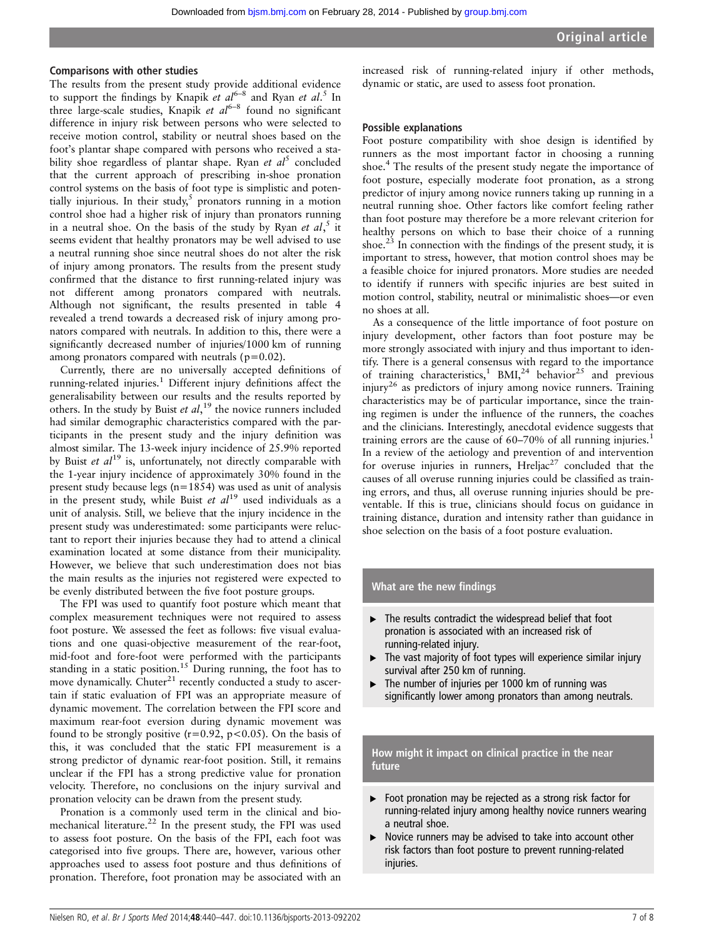#### Comparisons with other studies

The results from the present study provide additional evidence to support the findings by Knapik et  $al^{6-8}$  and Ryan et  $al^S$  In the large-scale studies, Knapik et  $aI^{6-8}$  found no significant difference in injury risk between persons who were selected to receive motion control, stability or neutral shoes based on the foot's plantar shape compared with persons who received a stability shoe regardless of plantar shape. Ryan *et al*<sup>5</sup> concluded that the current approach of prescribing in-shoe pronation control systems on the basis of foot type is simplistic and potentially injurious. In their study, $5$  pronators running in a motion control shoe had a higher risk of injury than pronators running in a neutral shoe. On the basis of the study by Ryan et  $al$ ,<sup>5</sup> it seems evident that healthy pronators may be well advised to use a neutral running shoe since neutral shoes do not alter the risk of injury among pronators. The results from the present study confirmed that the distance to first running-related injury was not different among pronators compared with neutrals. Although not significant, the results presented in table 4 revealed a trend towards a decreased risk of injury among pronators compared with neutrals. In addition to this, there were a significantly decreased number of injuries/1000 km of running among pronators compared with neutrals ( $p=0.02$ ).

Currently, there are no universally accepted definitions of running-related injuries.<sup>1</sup> Different injury definitions affect the generalisability between our results and the results reported by others. In the study by Buist et  $al$ ,<sup>19</sup> the novice runners included had similar demographic characteristics compared with the participants in the present study and the injury definition was almost similar. The 13-week injury incidence of 25.9% reported by Buist et  $al^{19}$  is, unfortunately, not directly comparable with the 1-year injury incidence of approximately 30% found in the present study because legs (n=1854) was used as unit of analysis in the present study, while Buist et  $aI^{19}$  used individuals as a unit of analysis. Still, we believe that the injury incidence in the present study was underestimated: some participants were reluctant to report their injuries because they had to attend a clinical examination located at some distance from their municipality. However, we believe that such underestimation does not bias the main results as the injuries not registered were expected to be evenly distributed between the five foot posture groups.

The FPI was used to quantify foot posture which meant that complex measurement techniques were not required to assess foot posture. We assessed the feet as follows: five visual evaluations and one quasi-objective measurement of the rear-foot, mid-foot and fore-foot were performed with the participants standing in a static position.<sup>15</sup> During running, the foot has to move dynamically. Chuter $21$  recently conducted a study to ascertain if static evaluation of FPI was an appropriate measure of dynamic movement. The correlation between the FPI score and maximum rear-foot eversion during dynamic movement was found to be strongly positive  $(r=0.92, p<0.05)$ . On the basis of this, it was concluded that the static FPI measurement is a strong predictor of dynamic rear-foot position. Still, it remains unclear if the FPI has a strong predictive value for pronation velocity. Therefore, no conclusions on the injury survival and pronation velocity can be drawn from the present study.

Pronation is a commonly used term in the clinical and biomechanical literature.<sup>22</sup> In the present study, the FPI was used to assess foot posture. On the basis of the FPI, each foot was categorised into five groups. There are, however, various other approaches used to assess foot posture and thus definitions of pronation. Therefore, foot pronation may be associated with an

increased risk of running-related injury if other methods, dynamic or static, are used to assess foot pronation.

#### Possible explanations

Foot posture compatibility with shoe design is identified by runners as the most important factor in choosing a running shoe.4 The results of the present study negate the importance of foot posture, especially moderate foot pronation, as a strong predictor of injury among novice runners taking up running in a neutral running shoe. Other factors like comfort feeling rather than foot posture may therefore be a more relevant criterion for healthy persons on which to base their choice of a running shoe. $^{23}$  In connection with the findings of the present study, it is important to stress, however, that motion control shoes may be a feasible choice for injured pronators. More studies are needed to identify if runners with specific injuries are best suited in motion control, stability, neutral or minimalistic shoes—or even no shoes at all.

As a consequence of the little importance of foot posture on injury development, other factors than foot posture may be more strongly associated with injury and thus important to identify. There is a general consensus with regard to the importance of training characteristics,<sup>1</sup> BMI,<sup>24</sup> behavior<sup>25</sup> and previous  $injury<sup>26</sup>$  as predictors of injury among novice runners. Training characteristics may be of particular importance, since the training regimen is under the influence of the runners, the coaches and the clinicians. Interestingly, anecdotal evidence suggests that training errors are the cause of 60–70% of all running injuries.<sup>1</sup> In a review of the aetiology and prevention of and intervention for overuse injuries in runners,  $Hreliac<sup>27</sup>$  concluded that the causes of all overuse running injuries could be classified as training errors, and thus, all overuse running injuries should be preventable. If this is true, clinicians should focus on guidance in training distance, duration and intensity rather than guidance in shoe selection on the basis of a foot posture evaluation.

#### What are the new findings

- ▸ The results contradict the widespread belief that foot pronation is associated with an increased risk of running-related injury.
- ▸ The vast majority of foot types will experience similar injury survival after 250 km of running.
- The number of injuries per 1000 km of running was significantly lower among pronators than among neutrals.

#### How might it impact on clinical practice in the near future

- ▶ Foot pronation may be rejected as a strong risk factor for running-related injury among healthy novice runners wearing a neutral shoe.
- ▶ Novice runners may be advised to take into account other risk factors than foot posture to prevent running-related injuries.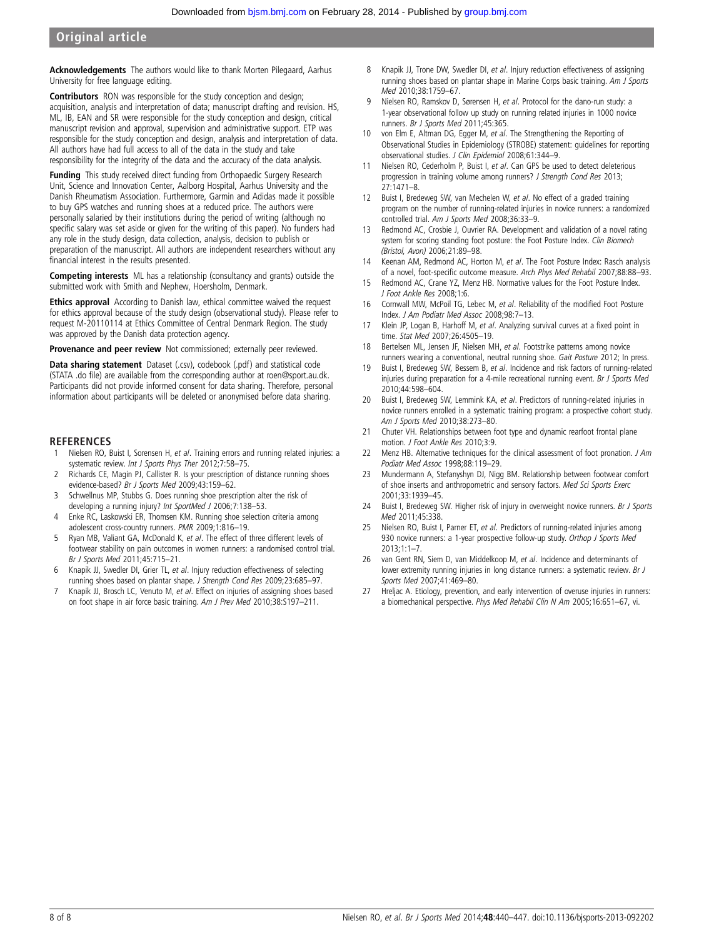Acknowledgements The authors would like to thank Morten Pilegaard, Aarhus University for free language editing.

**Contributors** RON was responsible for the study conception and design: acquisition, analysis and interpretation of data; manuscript drafting and revision. HS, ML, IB, EAN and SR were responsible for the study conception and design, critical manuscript revision and approval, supervision and administrative support. ETP was responsible for the study conception and design, analysis and interpretation of data. All authors have had full access to all of the data in the study and take responsibility for the integrity of the data and the accuracy of the data analysis.

**Funding** This study received direct funding from Orthopaedic Surgery Research Unit, Science and Innovation Center, Aalborg Hospital, Aarhus University and the Danish Rheumatism Association. Furthermore, Garmin and Adidas made it possible to buy GPS watches and running shoes at a reduced price. The authors were personally salaried by their institutions during the period of writing (although no specific salary was set aside or given for the writing of this paper). No funders had any role in the study design, data collection, analysis, decision to publish or preparation of the manuscript. All authors are independent researchers without any financial interest in the results presented.

Competing interests ML has a relationship (consultancy and grants) outside the submitted work with Smith and Nephew, Hoersholm, Denmark.

Ethics approval According to Danish law, ethical committee waived the request for ethics approval because of the study design (observational study). Please refer to request M-20110114 at Ethics Committee of Central Denmark Region. The study was approved by the Danish data protection agency.

Provenance and peer review Not commissioned; externally peer reviewed.

Data sharing statement Dataset (.csv), codebook (.pdf) and statistical code (STATA .do file) are available from the corresponding author at roen@sport.au.dk. Participants did not provide informed consent for data sharing. Therefore, personal information about participants will be deleted or anonymised before data sharing.

#### **REFERENCES**

- 1 Nielsen RO, Buist I, Sorensen H, et al. Training errors and running related injuries: a systematic review. Int J Sports Phys Ther 2012;7:58–75.
- 2 Richards CE, Magin PJ, Callister R. Is your prescription of distance running shoes evidence-based? Br J Sports Med 2009;43:159–62.
- 3 Schwellnus MP, Stubbs G. Does running shoe prescription alter the risk of developing a running injury? Int SportMed J 2006;7:138–53.
- 4 Enke RC, Laskowski ER, Thomsen KM. Running shoe selection criteria among adolescent cross-country runners. PMR 2009;1:816–19.
- 5 Ryan MB, Valiant GA, McDonald K, et al. The effect of three different levels of footwear stability on pain outcomes in women runners: a randomised control trial. Br J Sports Med 2011;45:715–21.
- 6 Knapik JJ, Swedler DI, Grier TL, et al. Injury reduction effectiveness of selecting running shoes based on plantar shape. J Strength Cond Res 2009;23:685–97.
- 7 Knapik JJ, Brosch LC, Venuto M, et al. Effect on injuries of assigning shoes based on foot shape in air force basic training. Am J Prev Med 2010;38:S197–211.
- 8 Knapik JJ, Trone DW, Swedler DI, et al. Injury reduction effectiveness of assigning running shoes based on plantar shape in Marine Corps basic training. Am J Sports Med 2010;38:1759–67.
- 9 Nielsen RO, Ramskov D, Sørensen H, et al. Protocol for the dano-run study: a 1-year observational follow up study on running related injuries in 1000 novice runners. Br J Sports Med 2011;45:365.
- von Elm E, Altman DG, Egger M, et al. The Strengthening the Reporting of Observational Studies in Epidemiology (STROBE) statement: guidelines for reporting observational studies. J Clin Epidemiol 2008;61:344–9.
- 11 Nielsen RO, Cederholm P, Buist I, et al. Can GPS be used to detect deleterious progression in training volume among runners? J Strength Cond Res 2013; 27:1471–8.
- 12 Buist I, Bredeweg SW, van Mechelen W, et al. No effect of a graded training program on the number of running-related injuries in novice runners: a randomized controlled trial. Am J Sports Med 2008;36:33–9.
- 13 Redmond AC, Crosbie J, Ouvrier RA. Development and validation of a novel rating system for scoring standing foot posture: the Foot Posture Index. Clin Biomech (Bristol, Avon) 2006;21:89–98.
- 14 Keenan AM, Redmond AC, Horton M, et al. The Foot Posture Index: Rasch analysis of a novel, foot-specific outcome measure. Arch Phys Med Rehabil 2007;88:88–93.
- 15 Redmond AC, Crane YZ, Menz HB. Normative values for the Foot Posture Index. J Foot Ankle Res 2008;1:6.
- 16 Cornwall MW, McPoil TG, Lebec M, et al. Reliability of the modified Foot Posture Index. J Am Podiatr Med Assoc 2008;98:7–13.
- 17 Klein JP, Logan B, Harhoff M, et al. Analyzing survival curves at a fixed point in time. Stat Med 2007;26:4505–19.
- Bertelsen ML, Jensen JF, Nielsen MH, et al. Footstrike patterns among novice runners wearing a conventional, neutral running shoe. Gait Posture 2012; In press.
- 19 Buist I, Bredeweg SW, Bessem B, et al. Incidence and risk factors of running-related injuries during preparation for a 4-mile recreational running event. Br J Sports Med 2010;44:598–604.
- 20 Buist I, Bredeweg SW, Lemmink KA, et al. Predictors of running-related injuries in novice runners enrolled in a systematic training program: a prospective cohort study. Am J Sports Med 2010;38:273–80.
- 21 Chuter VH. Relationships between foot type and dynamic rearfoot frontal plane motion. J Foot Ankle Res 2010;3:9.
- 22 Menz HB. Alternative techniques for the clinical assessment of foot pronation. J Am Podiatr Med Assoc 1998;88:119–29.
- 23 Mundermann A, Stefanyshyn DJ, Nigg BM. Relationship between footwear comfort of shoe inserts and anthropometric and sensory factors. Med Sci Sports Exerc 2001;33:1939–45.
- 24 Buist I, Bredeweg SW. Higher risk of injury in overweight novice runners. Br J Sports Med 2011:45:338
- 25 Nielsen RO, Buist I, Parner ET, et al. Predictors of running-related injuries among 930 novice runners: a 1-year prospective follow-up study. Orthop J Sports Med 2013;1:1–7.
- 26 van Gent RN, Siem D, van Middelkoop M, et al. Incidence and determinants of lower extremity running injuries in long distance runners: a systematic review. Br J Sports Med 2007;41:469–80.
- 27 Hreljac A. Etiology, prevention, and early intervention of overuse injuries in runners: a biomechanical perspective. Phys Med Rehabil Clin N Am 2005;16:651–67, vi.